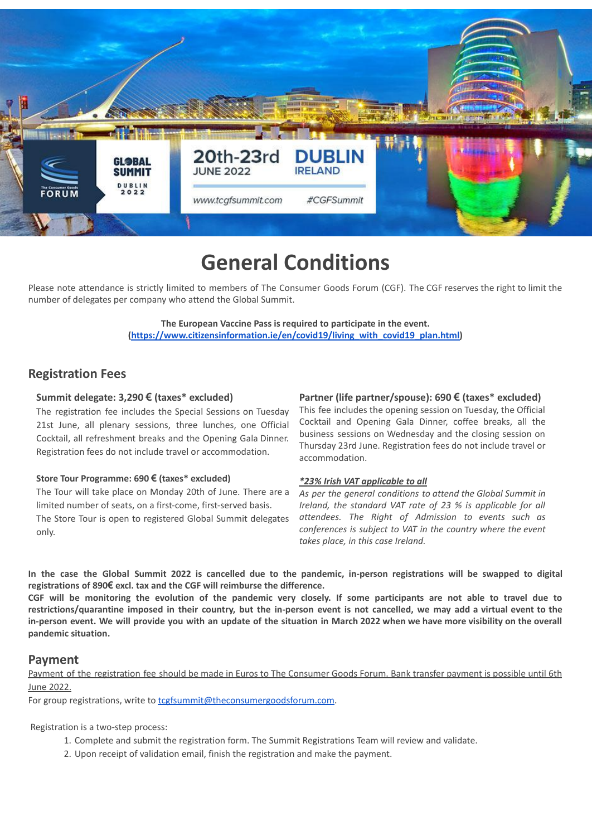

# **General Conditions**

Please note attendance is strictly limited to members of The Consumer Goods Forum (CGF). The CGF reserves the right to limit the number of delegates per company who attend the Global Summit.

> **The European Vaccine Pass is required to participate in the event. [\(https://www.citizensinformation.ie/en/covid19/living\\_with\\_covid19\\_plan.html\)](https://www.citizensinformation.ie/en/covid19/living_with_covid19_plan.html)**

## **Registration Fees**

### **Summit delegate: 3,290 € (taxes\* excluded)**

The registration fee includes the Special Sessions on Tuesday 21st June, all plenary sessions, three lunches, one Official Cocktail, all refreshment breaks and the Opening Gala Dinner. Registration fees do not include travel or accommodation.

#### **Store Tour Programme: 690 € (taxes\* excluded)**

The Tour will take place on Monday 20th of June. There are a limited number of seats, on a first-come, first-served basis.

The Store Tour is open to registered Global Summit delegates only.

#### **Partner (life partner/spouse): 690 € (taxes\* excluded)**

This fee includes the opening session on Tuesday, the Official Cocktail and Opening Gala Dinner, coffee breaks, all the business sessions on Wednesday and the closing session on Thursday 23rd June. Registration fees do not include travel or accommodation.

#### *\*23% Irish VAT applicable to all*

*As per the general conditions to attend the Global Summit in Ireland, the standard VAT rate of 23 % is applicable for all attendees. The Right of Admission to events such as conferences is subject to VAT in the country where the event takes place, in this case Ireland.*

In the case the Global Summit 2022 is cancelled due to the pandemic, in-person registrations will be swapped to digital **registrations of 890€ excl. tax and the CGF will reimburse the difference.**

CGF will be monitoring the evolution of the pandemic very closely. If some participants are not able to travel due to restrictions/quarantine imposed in their country, but the in-person event is not cancelled, we may add a virtual event to the in-person event. We will provide you with an update of the situation in March 2022 when we have more visibility on the overall **pandemic situation.**

## **Payment**

Payment of the registration fee should be made in Euros to The Consumer Goods Forum. Bank transfer payment is possible until 6th June 2022.

For group registrations, write to **[tcgfsummit@theconsumergoodsforum.com.](mailto:tcgfsummit@theconsumergoodsforum.com)** 

Registration is a two-step process:

- 1. Complete and submit the registration form. The Summit Registrations Team will review and validate.
- 2. Upon receipt of validation email, finish the registration and make the payment.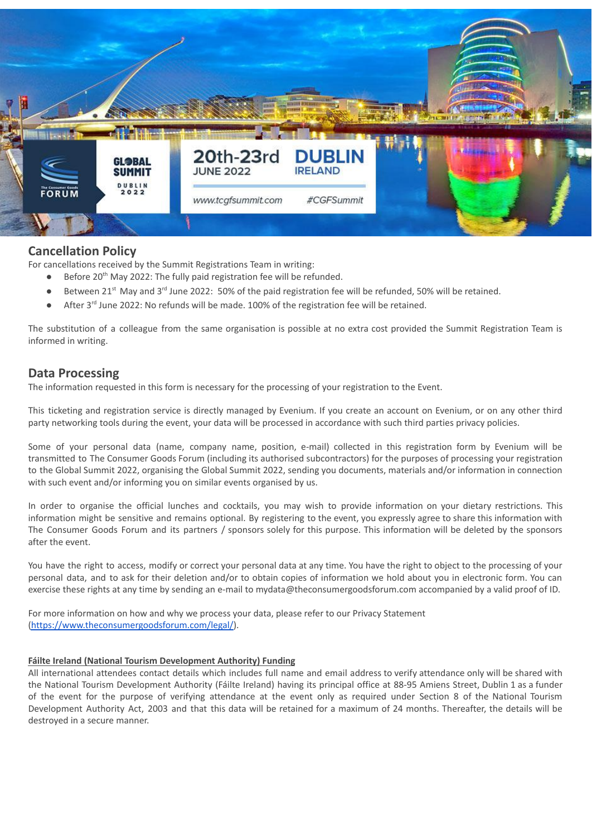

# **Cancellation Policy**

For cancellations received by the Summit Registrations Team in writing:

- Before 20<sup>th</sup> May 2022: The fully paid registration fee will be refunded.
- Between 21<sup>st</sup> May and 3<sup>rd</sup> June 2022: 50% of the paid registration fee will be refunded, 50% will be retained.
- After 3<sup>rd</sup> June 2022: No refunds will be made. 100% of the registration fee will be retained.

The substitution of a colleague from the same organisation is possible at no extra cost provided the Summit Registration Team is informed in writing.

# **Data Processing**

The information requested in this form is necessary for the processing of your registration to the Event.

This ticketing and registration service is directly managed by Evenium. If you create an account on Evenium, or on any other third party networking tools during the event, your data will be processed in accordance with such third parties privacy policies.

Some of your personal data (name, company name, position, e-mail) collected in this registration form by Evenium will be transmitted to The Consumer Goods Forum (including its authorised subcontractors) for the purposes of processing your registration to the Global Summit 2022, organising the Global Summit 2022, sending you documents, materials and/or information in connection with such event and/or informing you on similar events organised by us.

In order to organise the official lunches and cocktails, you may wish to provide information on your dietary restrictions. This information might be sensitive and remains optional. By registering to the event, you expressly agree to share this information with The Consumer Goods Forum and its partners / sponsors solely for this purpose. This information will be deleted by the sponsors after the event.

You have the right to access, modify or correct your personal data at any time. You have the right to object to the processing of your personal data, and to ask for their deletion and/or to obtain copies of information we hold about you in electronic form. You can exercise these rights at any time by sending an e-mail to mydata@theconsumergoodsforum.com accompanied by a valid proof of ID.

For more information on how and why we process your data, please refer to our Privacy Statement [\(https://www.theconsumergoodsforum.com/legal/](https://www.theconsumergoodsforum.com/legal/)).

#### **Fáilte Ireland (National Tourism Development Authority) Funding**

All international attendees contact details which includes full name and email address to verify attendance only will be shared with the National Tourism Development Authority (Fáilte Ireland) having its principal office at 88-95 Amiens Street, Dublin 1 as a funder of the event for the purpose of verifying attendance at the event only as required under Section 8 of the National Tourism Development Authority Act, 2003 and that this data will be retained for a maximum of 24 months. Thereafter, the details will be destroyed in a secure manner.